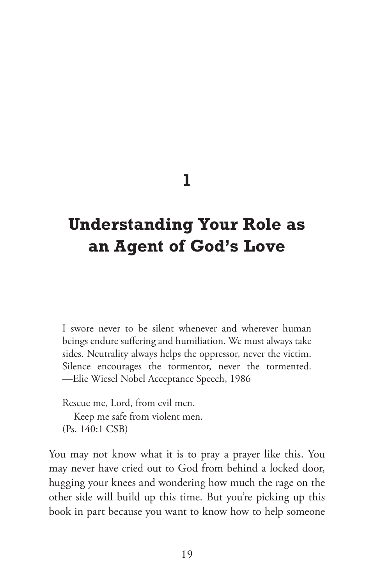### **1**

# **Understanding Your Role as an Agent of God's Love**

I swore never to be silent whenever and wherever human beings endure suffering and humiliation. We must always take sides. Neutrality always helps the oppressor, never the victim. Silence encourages the tormentor, never the tormented. —Elie Wiesel Nobel Acceptance Speech, 1986

Rescue me, Lord, from evil men. Keep me safe from violent men. (Ps. 140:1 CSB)

You may not know what it is to pray a prayer like this. You may never have cried out to God from behind a locked door, hugging your knees and wondering how much the rage on the other side will build up this time. But you're picking up this book in part because you want to know how to help someone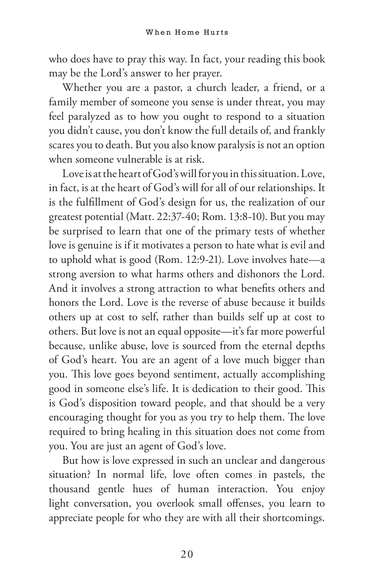who does have to pray this way. In fact, your reading this book may be the Lord's answer to her prayer.

Whether you are a pastor, a church leader, a friend, or a family member of someone you sense is under threat, you may feel paralyzed as to how you ought to respond to a situation you didn't cause, you don't know the full details of, and frankly scares you to death. But you also know paralysis is not an option when someone vulnerable is at risk.

Love is at the heart of God's will for you in this situation. Love, in fact, is at the heart of God's will for all of our relationships. It is the fulfillment of God's design for us, the realization of our greatest potential (Matt. 22:37-40; Rom. 13:8-10). But you may be surprised to learn that one of the primary tests of whether love is genuine is if it motivates a person to hate what is evil and to uphold what is good (Rom. 12:9-21). Love involves hate—a strong aversion to what harms others and dishonors the Lord. And it involves a strong attraction to what benefits others and honors the Lord. Love is the reverse of abuse because it builds others up at cost to self, rather than builds self up at cost to others. But love is not an equal opposite—it's far more powerful because, unlike abuse, love is sourced from the eternal depths of God's heart. You are an agent of a love much bigger than you. This love goes beyond sentiment, actually accomplishing good in someone else's life. It is dedication to their good. This is God's disposition toward people, and that should be a very encouraging thought for you as you try to help them. The love required to bring healing in this situation does not come from you. You are just an agent of God's love.

But how is love expressed in such an unclear and dangerous situation? In normal life, love often comes in pastels, the thousand gentle hues of human interaction. You enjoy light conversation, you overlook small offenses, you learn to appreciate people for who they are with all their shortcomings.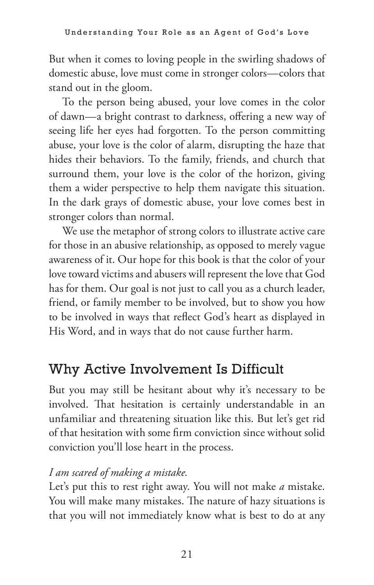But when it comes to loving people in the swirling shadows of domestic abuse, love must come in stronger colors—colors that stand out in the gloom.

To the person being abused, your love comes in the color of dawn—a bright contrast to darkness, offering a new way of seeing life her eyes had forgotten. To the person committing abuse, your love is the color of alarm, disrupting the haze that hides their behaviors. To the family, friends, and church that surround them, your love is the color of the horizon, giving them a wider perspective to help them navigate this situation. In the dark grays of domestic abuse, your love comes best in stronger colors than normal.

We use the metaphor of strong colors to illustrate active care for those in an abusive relationship, as opposed to merely vague awareness of it. Our hope for this book is that the color of your love toward victims and abusers will represent the love that God has for them. Our goal is not just to call you as a church leader, friend, or family member to be involved, but to show you how to be involved in ways that reflect God's heart as displayed in His Word, and in ways that do not cause further harm.

### Why Active Involvement Is Difficult

But you may still be hesitant about why it's necessary to be involved. That hesitation is certainly understandable in an unfamiliar and threatening situation like this. But let's get rid of that hesitation with some firm conviction since without solid conviction you'll lose heart in the process.

#### *I am scared of making a mistake.*

Let's put this to rest right away. You will not make *a* mistake. You will make many mistakes. The nature of hazy situations is that you will not immediately know what is best to do at any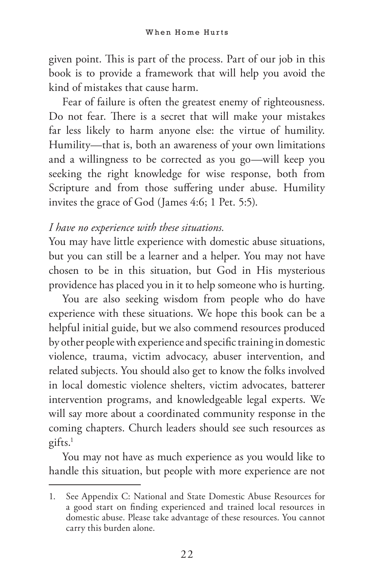given point. This is part of the process. Part of our job in this book is to provide a framework that will help you avoid the kind of mistakes that cause harm.

Fear of failure is often the greatest enemy of righteousness. Do not fear. There is a secret that will make your mistakes far less likely to harm anyone else: the virtue of humility. Humility—that is, both an awareness of your own limitations and a willingness to be corrected as you go—will keep you seeking the right knowledge for wise response, both from Scripture and from those suffering under abuse. Humility invites the grace of God (James 4:6; 1 Pet. 5:5).

#### *I have no experience with these situations.*

You may have little experience with domestic abuse situations, but you can still be a learner and a helper. You may not have chosen to be in this situation, but God in His mysterious providence has placed you in it to help someone who is hurting.

You are also seeking wisdom from people who do have experience with these situations. We hope this book can be a helpful initial guide, but we also commend resources produced by other people with experience and specific training in domestic violence, trauma, victim advocacy, abuser intervention, and related subjects. You should also get to know the folks involved in local domestic violence shelters, victim advocates, batterer intervention programs, and knowledgeable legal experts. We will say more about a coordinated community response in the coming chapters. Church leaders should see such resources as gifts.1

You may not have as much experience as you would like to handle this situation, but people with more experience are not

<sup>1.</sup> See Appendix C: National and State Domestic Abuse Resources for a good start on finding experienced and trained local resources in domestic abuse. Please take advantage of these resources. You cannot carry this burden alone.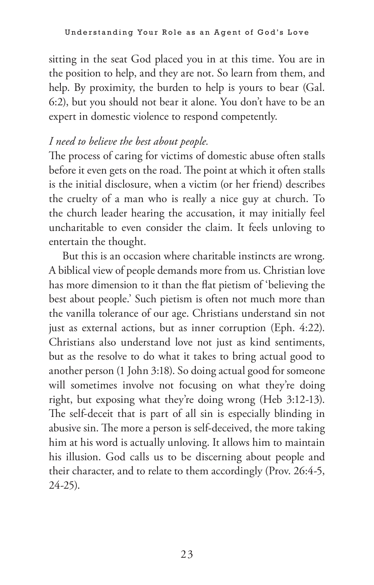sitting in the seat God placed you in at this time. You are in the position to help, and they are not. So learn from them, and help. By proximity, the burden to help is yours to bear (Gal. 6:2), but you should not bear it alone. You don't have to be an expert in domestic violence to respond competently.

#### *I need to believe the best about people.*

The process of caring for victims of domestic abuse often stalls before it even gets on the road. The point at which it often stalls is the initial disclosure, when a victim (or her friend) describes the cruelty of a man who is really a nice guy at church. To the church leader hearing the accusation, it may initially feel uncharitable to even consider the claim. It feels unloving to entertain the thought.

But this is an occasion where charitable instincts are wrong. A biblical view of people demands more from us. Christian love has more dimension to it than the flat pietism of 'believing the best about people.' Such pietism is often not much more than the vanilla tolerance of our age. Christians understand sin not just as external actions, but as inner corruption (Eph. 4:22). Christians also understand love not just as kind sentiments, but as the resolve to do what it takes to bring actual good to another person (1 John 3:18). So doing actual good for someone will sometimes involve not focusing on what they're doing right, but exposing what they're doing wrong (Heb 3:12-13). The self-deceit that is part of all sin is especially blinding in abusive sin. The more a person is self-deceived, the more taking him at his word is actually unloving. It allows him to maintain his illusion. God calls us to be discerning about people and their character, and to relate to them accordingly (Prov. 26:4-5, 24-25).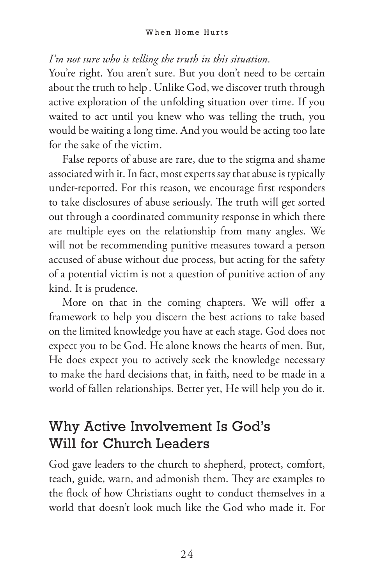#### *I'm not sure who is telling the truth in this situation.*

You're right. You aren't sure. But you don't need to be certain about the truth to help . Unlike God, we discover truth through active exploration of the unfolding situation over time. If you waited to act until you knew who was telling the truth, you would be waiting a long time. And you would be acting too late for the sake of the victim.

False reports of abuse are rare, due to the stigma and shame associated with it. In fact, most experts say that abuse is typically under-reported. For this reason, we encourage first responders to take disclosures of abuse seriously. The truth will get sorted out through a coordinated community response in which there are multiple eyes on the relationship from many angles. We will not be recommending punitive measures toward a person accused of abuse without due process, but acting for the safety of a potential victim is not a question of punitive action of any kind. It is prudence.

More on that in the coming chapters. We will offer a framework to help you discern the best actions to take based on the limited knowledge you have at each stage. God does not expect you to be God. He alone knows the hearts of men. But, He does expect you to actively seek the knowledge necessary to make the hard decisions that, in faith, need to be made in a world of fallen relationships. Better yet, He will help you do it.

### Why Active Involvement Is God's Will for Church Leaders

God gave leaders to the church to shepherd, protect, comfort, teach, guide, warn, and admonish them. They are examples to the flock of how Christians ought to conduct themselves in a world that doesn't look much like the God who made it. For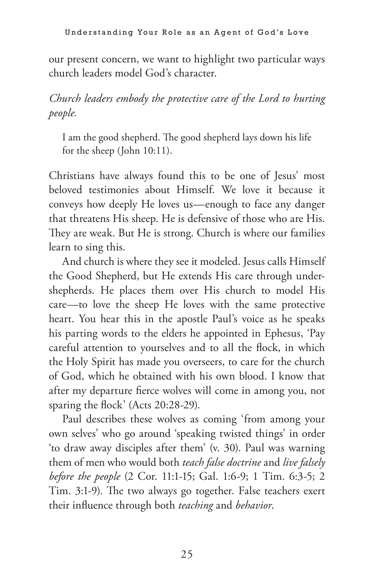our present concern, we want to highlight two particular ways church leaders model God's character.

*Church leaders embody the protective care of the Lord to hurting people.*

I am the good shepherd. The good shepherd lays down his life for the sheep (John 10:11).

Christians have always found this to be one of Jesus' most beloved testimonies about Himself. We love it because it conveys how deeply He loves us—enough to face any danger that threatens His sheep. He is defensive of those who are His. They are weak. But He is strong. Church is where our families learn to sing this.

And church is where they see it modeled. Jesus calls Himself the Good Shepherd, but He extends His care through undershepherds. He places them over His church to model His care—to love the sheep He loves with the same protective heart. You hear this in the apostle Paul's voice as he speaks his parting words to the elders he appointed in Ephesus, 'Pay careful attention to yourselves and to all the flock, in which the Holy Spirit has made you overseers, to care for the church of God, which he obtained with his own blood. I know that after my departure fierce wolves will come in among you, not sparing the flock' (Acts 20:28-29).

Paul describes these wolves as coming 'from among your own selves' who go around 'speaking twisted things' in order 'to draw away disciples after them' (v. 30). Paul was warning them of men who would both *teach false doctrine* and *live falsely before the people* (2 Cor. 11:1-15; Gal. 1:6-9; 1 Tim. 6:3-5; 2 Tim. 3:1-9). The two always go together. False teachers exert their influence through both *teaching* and *behavior*.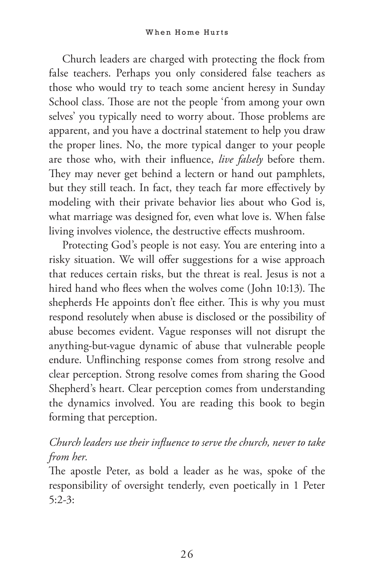Church leaders are charged with protecting the flock from false teachers. Perhaps you only considered false teachers as those who would try to teach some ancient heresy in Sunday School class. Those are not the people 'from among your own selves' you typically need to worry about. Those problems are apparent, and you have a doctrinal statement to help you draw the proper lines. No, the more typical danger to your people are those who, with their influence, *live falsely* before them. They may never get behind a lectern or hand out pamphlets, but they still teach. In fact, they teach far more effectively by modeling with their private behavior lies about who God is, what marriage was designed for, even what love is. When false living involves violence, the destructive effects mushroom.

Protecting God's people is not easy. You are entering into a risky situation. We will offer suggestions for a wise approach that reduces certain risks, but the threat is real. Jesus is not a hired hand who flees when the wolves come (John 10:13). The shepherds He appoints don't flee either. This is why you must respond resolutely when abuse is disclosed or the possibility of abuse becomes evident. Vague responses will not disrupt the anything-but-vague dynamic of abuse that vulnerable people endure. Unflinching response comes from strong resolve and clear perception. Strong resolve comes from sharing the Good Shepherd's heart. Clear perception comes from understanding the dynamics involved. You are reading this book to begin forming that perception.

#### *Church leaders use their influence to serve the church, never to take from her.*

The apostle Peter, as bold a leader as he was, spoke of the responsibility of oversight tenderly, even poetically in 1 Peter 5:2-3: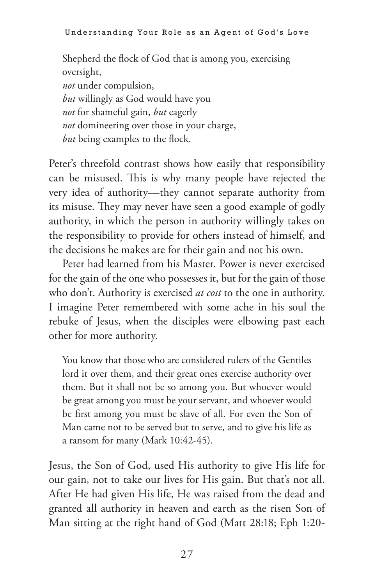Shepherd the flock of God that is among you, exercising oversight, *not* under compulsion, *but* willingly as God would have you *not* for shameful gain, *but* eagerly *not* domineering over those in your charge, *but* being examples to the flock.

Peter's threefold contrast shows how easily that responsibility can be misused. This is why many people have rejected the very idea of authority—they cannot separate authority from its misuse. They may never have seen a good example of godly authority, in which the person in authority willingly takes on the responsibility to provide for others instead of himself, and the decisions he makes are for their gain and not his own.

Peter had learned from his Master. Power is never exercised for the gain of the one who possesses it, but for the gain of those who don't. Authority is exercised *at cost* to the one in authority. I imagine Peter remembered with some ache in his soul the rebuke of Jesus, when the disciples were elbowing past each other for more authority.

You know that those who are considered rulers of the Gentiles lord it over them, and their great ones exercise authority over them. But it shall not be so among you. But whoever would be great among you must be your servant, and whoever would be first among you must be slave of all. For even the Son of Man came not to be served but to serve, and to give his life as a ransom for many (Mark 10:42-45).

Jesus, the Son of God, used His authority to give His life for our gain, not to take our lives for His gain. But that's not all. After He had given His life, He was raised from the dead and granted all authority in heaven and earth as the risen Son of Man sitting at the right hand of God (Matt 28:18; Eph 1:20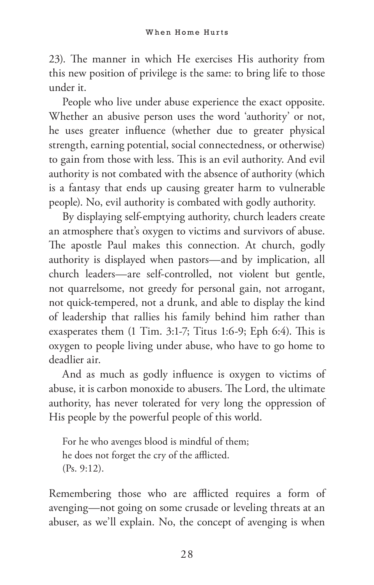23). The manner in which He exercises His authority from this new position of privilege is the same: to bring life to those under it.

People who live under abuse experience the exact opposite. Whether an abusive person uses the word 'authority' or not, he uses greater influence (whether due to greater physical strength, earning potential, social connectedness, or otherwise) to gain from those with less. This is an evil authority. And evil authority is not combated with the absence of authority (which is a fantasy that ends up causing greater harm to vulnerable people). No, evil authority is combated with godly authority.

By displaying self-emptying authority, church leaders create an atmosphere that's oxygen to victims and survivors of abuse. The apostle Paul makes this connection. At church, godly authority is displayed when pastors—and by implication, all church leaders—are self-controlled, not violent but gentle, not quarrelsome, not greedy for personal gain, not arrogant, not quick-tempered, not a drunk, and able to display the kind of leadership that rallies his family behind him rather than exasperates them (1 Tim. 3:1-7; Titus 1:6-9; Eph 6:4). This is oxygen to people living under abuse, who have to go home to deadlier air.

And as much as godly influence is oxygen to victims of abuse, it is carbon monoxide to abusers. The Lord, the ultimate authority, has never tolerated for very long the oppression of His people by the powerful people of this world.

For he who avenges blood is mindful of them; he does not forget the cry of the afflicted. (Ps. 9:12).

Remembering those who are afflicted requires a form of avenging—not going on some crusade or leveling threats at an abuser, as we'll explain. No, the concept of avenging is when